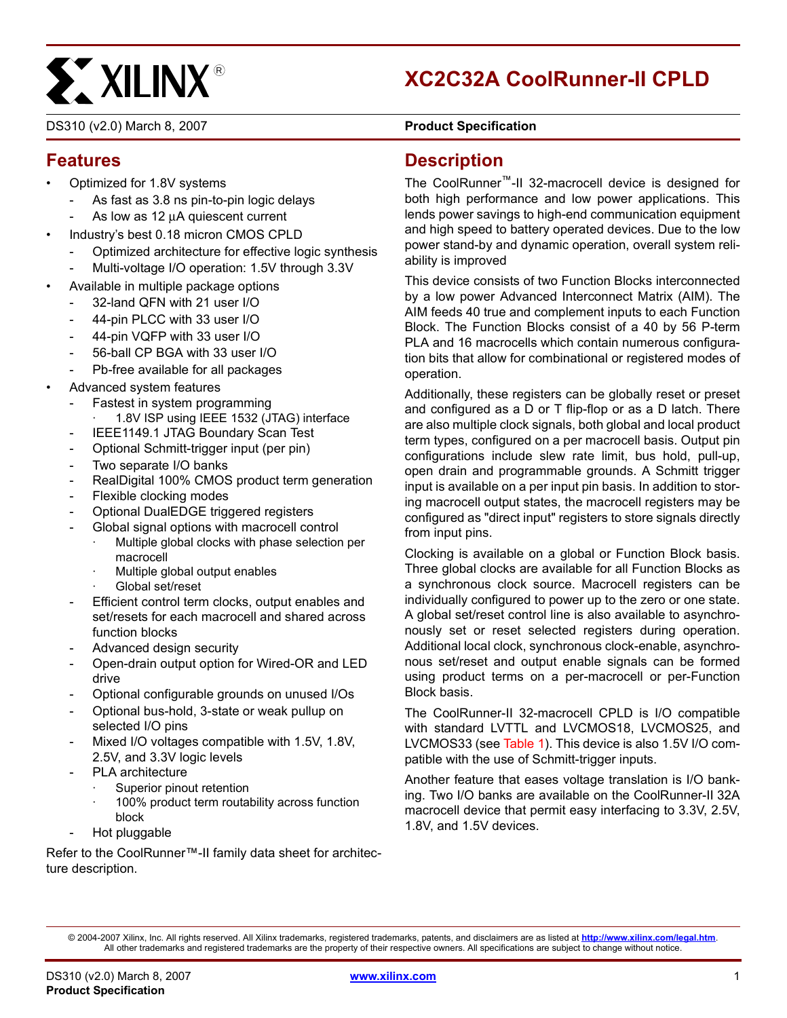# **EXALINX®**

# **XC2C32A CoolRunner-II CPLD**

DS310 (v2.0) March 8, 2007 **DS310 Product Specification** 

## **Features**

- Optimized for 1.8V systems
	- As fast as 3.8 ns pin-to-pin logic delays
	- As low as 12 μA quiescent current
- Industry's best 0.18 micron CMOS CPLD
	- Optimized architecture for effective logic synthesis
	- Multi-voltage I/O operation: 1.5V through 3.3V
- Available in multiple package options
	- 32-land QFN with 21 user I/O
	- 44-pin PLCC with 33 user I/O
	- 44-pin VQFP with 33 user I/O
	- 56-ball CP BGA with 33 user I/O
	- Pb-free available for all packages
- Advanced system features
	- Fastest in system programming
		- 1.8V ISP using IEEE 1532 (JTAG) interface
	- IEEE1149.1 JTAG Boundary Scan Test
	- Optional Schmitt-trigger input (per pin)
	- Two separate I/O banks
	- RealDigital 100% CMOS product term generation
	- Flexible clocking modes
	- Optional DualEDGE triggered registers
	- Global signal options with macrocell control
		- Multiple global clocks with phase selection per macrocell
		- Multiple global output enables
		- Global set/reset
	- Efficient control term clocks, output enables and set/resets for each macrocell and shared across function blocks
	- Advanced design security
	- Open-drain output option for Wired-OR and LED drive
	- Optional configurable grounds on unused I/Os
	- Optional bus-hold, 3-state or weak pullup on selected I/O pins
	- Mixed I/O voltages compatible with 1.5V, 1.8V, 2.5V, and 3.3V logic levels
	- PLA architecture
		- Superior pinout retention
		- 100% product term routability across function block
	- Hot pluggable

Refer to the CoolRunner™-II family data sheet for architecture description.

#### **Description**

The CoolRunner™-II 32-macrocell device is designed for both high performance and low power applications. This lends power savings to high-end communication equipment and high speed to battery operated devices. Due to the low power stand-by and dynamic operation, overall system reliability is improved

This device consists of two Function Blocks interconnected by a low power Advanced Interconnect Matrix (AIM). The AIM feeds 40 true and complement inputs to each Function Block. The Function Blocks consist of a 40 by 56 P-term PLA and 16 macrocells which contain numerous configuration bits that allow for combinational or registered modes of operation.

Additionally, these registers can be globally reset or preset and configured as a D or T flip-flop or as a D latch. There are also multiple clock signals, both global and local product term types, configured on a per macrocell basis. Output pin configurations include slew rate limit, bus hold, pull-up, open drain and programmable grounds. A Schmitt trigger input is available on a per input pin basis. In addition to storing macrocell output states, the macrocell registers may be configured as "direct input" registers to store signals directly from input pins.

Clocking is available on a global or Function Block basis. Three global clocks are available for all Function Blocks as a synchronous clock source. Macrocell registers can be individually configured to power up to the zero or one state. A global set/reset control line is also available to asynchronously set or reset selected registers during operation. Additional local clock, synchronous clock-enable, asynchronous set/reset and output enable signals can be formed using product terms on a per-macrocell or per-Function Block basis.

The CoolRunner-II 32-macrocell CPLD is I/O compatible with standard LVTTL and LVCMOS18, LVCMOS25, and LVCMOS33 (see [Table 1\)](#page-1-0). This device is also 1.5V I/O compatible with the use of Schmitt-trigger inputs.

Another feature that eases voltage translation is I/O banking. Two I/O banks are available on the CoolRunner-II 32A macrocell device that permit easy interfacing to 3.3V, 2.5V, 1.8V, and 1.5V devices.

<sup>© 2004-2007</sup> Xilinx, Inc. All rights reserved. All Xilinx trademarks, registered trademarks, patents, and disclaimers are as listed at **<http://www.xilinx.com/legal.htm>**. All other trademarks and registered trademarks are the property of their respective owners. All specifications are subject to change without notice.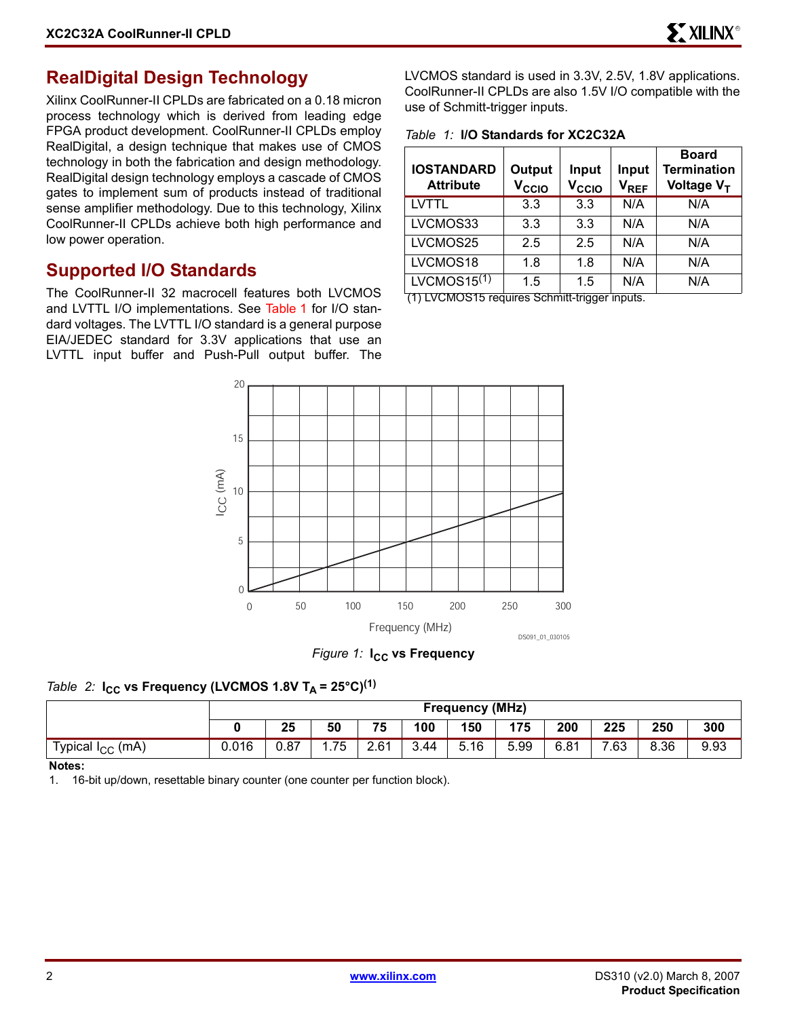#### **RealDigital Design Technology**

Xilinx CoolRunner-II CPLDs are fabricated on a 0.18 micron process technology which is derived from leading edge FPGA product development. CoolRunner-II CPLDs employ RealDigital, a design technique that makes use of CMOS technology in both the fabrication and design methodology. RealDigital design technology employs a cascade of CMOS gates to implement sum of products instead of traditional sense amplifier methodology. Due to this technology, Xilinx CoolRunner-II CPLDs achieve both high performance and low power operation.

#### **Supported I/O Standards**

The CoolRunner-II 32 macrocell features both LVCMOS and LVTTL I/O implementations. See [Table 1](#page-1-0) for I/O standard voltages. The LVTTL I/O standard is a general purpose EIA/JEDEC standard for 3.3V applications that use an LVTTL input buffer and Push-Pull output buffer. The LVCMOS standard is used in 3.3V, 2.5V, 1.8V applications. CoolRunner-II CPLDs are also 1.5V I/O compatible with the use of Schmitt-trigger inputs.

<span id="page-1-0"></span>*Table 1:* **I/O Standards for XC2C32A**

| <b>IOSTANDARD</b><br><b>Attribute</b> | Output<br>V <sub>CCIO</sub> | Input<br>V <sub>CCIO</sub> | Input<br>$V_{REF}$ | <b>Board</b><br><b>Termination</b><br>Voltage V <sub>T</sub> |
|---------------------------------------|-----------------------------|----------------------------|--------------------|--------------------------------------------------------------|
| LVTTL                                 | 3.3                         | 3.3                        | N/A                | N/A                                                          |
| LVCMOS33                              | 3.3                         | 3.3                        | N/A                | N/A                                                          |
| LVCMOS25                              | 2.5                         | 2.5                        | N/A                | N/A                                                          |
| LVCMOS18                              | 1.8                         | 1.8                        | N/A                | N/A                                                          |
| LVCMOS15 $(1)$                        | 1.5                         | 1.5                        | N/A                | N/A                                                          |

(1) LVCMOS15 requires Schmitt-trigger inputs.



*Figure 1:* **I<sub>CC</sub>** vs Frequency

#### *Table 2:*  $I_{CC}$  vs Frequency (LVCMOS 1.8V T<sub>A</sub> = 25°C)<sup>(1)</sup>

|                          |       | <b>Frequency (MHz)</b> |      |      |      |            |      |      |     |      |      |
|--------------------------|-------|------------------------|------|------|------|------------|------|------|-----|------|------|
|                          |       | 25                     | 50   | 75   | 100  | 150        | 175  | 200  | 225 | 250  | 300  |
| (mA)<br>Typical $I_{CC}$ | 0.016 | 0.87                   | . 75 | 2.61 | 3.44 | -5.<br>.16 | 5.99 | 6.81 | .63 | 8.36 | 9.93 |

**Notes:** 

1. 16-bit up/down, resettable binary counter (one counter per function block).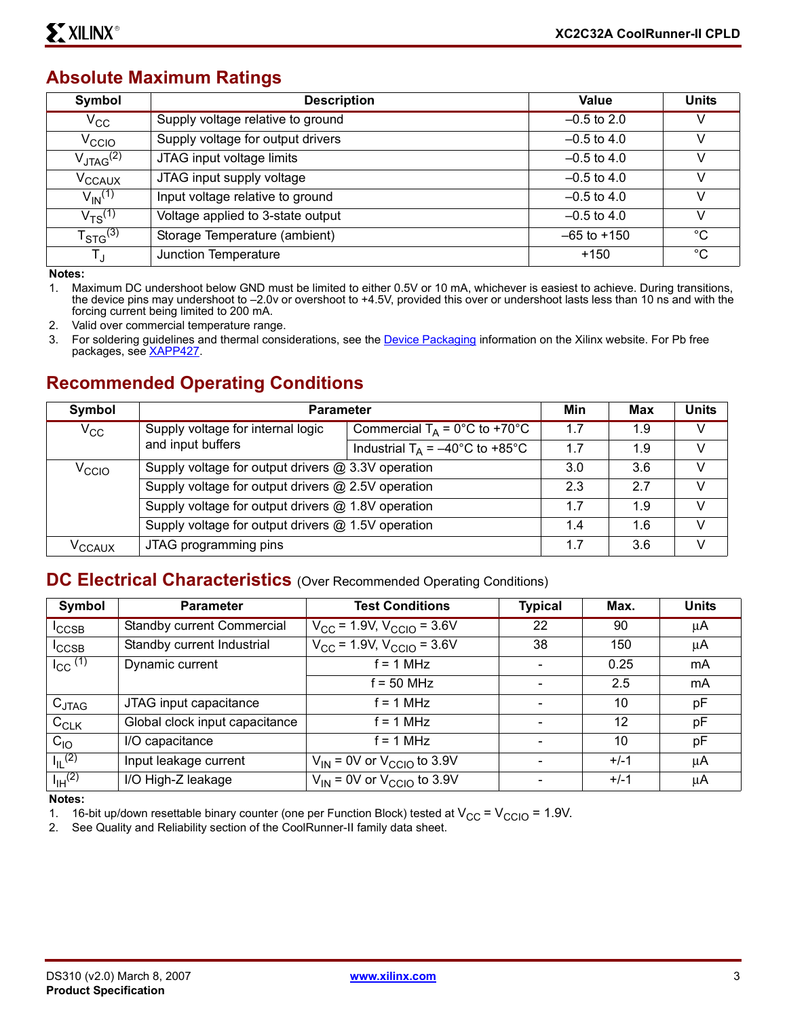#### **Absolute Maximum Ratings**

| Symbol                  | <b>Description</b>                | <b>Value</b>    | <b>Units</b> |
|-------------------------|-----------------------------------|-----------------|--------------|
| $V_{\rm CC}$            | Supply voltage relative to ground | $-0.5$ to 2.0   | v            |
| V <sub>CCIO</sub>       | Supply voltage for output drivers | $-0.5$ to 4.0   |              |
| $V_{\text{JTAG}}^{(2)}$ | JTAG input voltage limits         | $-0.5$ to 4.0   |              |
| V <sub>CCAUX</sub>      | JTAG input supply voltage         | $-0.5$ to 4.0   | v            |
| $V_{\text{IN}}^{(1)}$   | Input voltage relative to ground  | $-0.5$ to 4.0   | ν            |
| $V_{TS}^{(1)}$          | Voltage applied to 3-state output | $-0.5$ to 4.0   | v            |
| $T_{\text{STG}}^{(3)}$  | Storage Temperature (ambient)     | $-65$ to $+150$ | $^{\circ}C$  |
| T,                      | Junction Temperature              | $+150$          | $^{\circ}C$  |

**Notes:** 

1. Maximum DC undershoot below GND must be limited to either 0.5V or 10 mA, whichever is easiest to achieve. During transitions, the device pins may undershoot to –2.0v or overshoot to +4.5V, provided this over or undershoot lasts less than 10 ns and with the forcing current being limited to 200 mA.

2. Valid over commercial temperature range.

3. For soldering guidelines and thermal considerations, see the **Device Packaging** information on the Xilinx website. For Pb free packages, see [XAPP427](http://direct.xilinx.com/bvdocs/appnotes/xapp427.pdf).

#### **Recommended Operating Conditions**

| Symbol             | <b>Parameter</b>                                   |                                           |     | <b>Max</b> | <b>Units</b> |
|--------------------|----------------------------------------------------|-------------------------------------------|-----|------------|--------------|
| $V_{\rm CC}$       | Supply voltage for internal logic                  | Commercial $T_A = 0^\circ C$ to +70°C     | 1.7 | 1.9        | v            |
|                    | and input buffers                                  | Industrial $T_A = -40^{\circ}$ C to +85°C | 1.7 | 1.9        | V            |
| $V_{\rm CCIO}$     | Supply voltage for output drivers @ 3.3V operation |                                           | 3.0 | 3.6        | V            |
|                    | Supply voltage for output drivers @ 2.5V operation |                                           | 2.3 | 27         | v            |
|                    | Supply voltage for output drivers @ 1.8V operation |                                           | 1.7 | 1.9        | V            |
|                    | Supply voltage for output drivers @ 1.5V operation |                                           |     | 1.6        | V            |
| V <sub>CCAUX</sub> | JTAG programming pins                              |                                           | 1.7 | 3.6        | V            |

#### **DC Electrical Characteristics** (Over Recommended Operating Conditions)

| Symbol                | <b>Parameter</b>               | <b>Test Conditions</b>                           | <b>Typical</b> | Max.   | <b>Units</b> |
|-----------------------|--------------------------------|--------------------------------------------------|----------------|--------|--------------|
| <sup>I</sup> CCSB     | Standby current Commercial     | $V_{\text{CC}}$ = 1.9V, $V_{\text{CCIO}}$ = 3.6V | 22             | 90     | μA           |
| <sup>I</sup> CCSB     | Standby current Industrial     | $V_{CC}$ = 1.9V, $V_{CCIO}$ = 3.6V               | 38             | 150    | μA           |
| $I_{CC}$ (1)          | Dynamic current                | $f = 1 MHz$                                      |                | 0.25   | mA           |
|                       |                                | $f = 50$ MHz                                     |                | 2.5    | mA           |
| $C_{JTAG}$            | JTAG input capacitance         | f = 1 MHz                                        |                | 10     | pF           |
| $C_{CLK}$             | Global clock input capacitance | $= 1 MHz$                                        |                | 12     | рF           |
| $C_{10}$              | I/O capacitance                | $= 1 MHz$                                        |                | 10     | рF           |
| $I_{\parallel}$ (2)   | Input leakage current          | $V_{IN}$ = 0V or $V_{CCIO}$ to 3.9V              |                | $+/-1$ | μA           |
| $I_{\text{IH}}^{(2)}$ | I/O High-Z leakage             | $V_{IN}$ = 0V or $V_{CCIO}$ to 3.9V              |                | $+/-1$ | μA           |

**Notes:** 

1. 16-bit up/down resettable binary counter (one per Function Block) tested at  $V_{CC} = V_{CCIO} = 1.9V$ .<br>2. See Quality and Reliability section of the CoolRunner-II family data sheet.

See Quality and Reliability section of the CoolRunner-II family data sheet.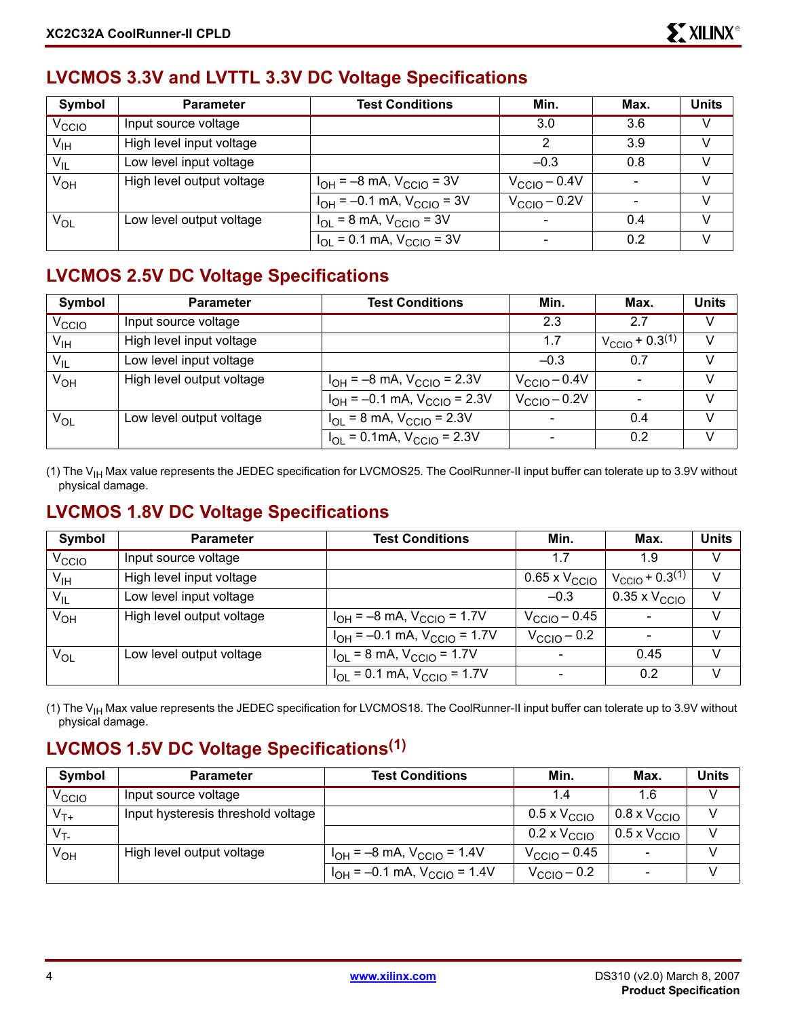# **LVCMOS 3.3V and LVTTL 3.3V DC Voltage Specifications**

| Symbol            | <b>Parameter</b>          | <b>Test Conditions</b>              | Min.                     | Max. | <b>Units</b> |
|-------------------|---------------------------|-------------------------------------|--------------------------|------|--------------|
| V <sub>CCIO</sub> | Input source voltage      |                                     | 3.0                      | 3.6  | V            |
| $V_{\sf IH}$      | High level input voltage  |                                     | 2                        | 3.9  | V            |
| $V_{IL}$          | Low level input voltage   |                                     | $-0.3$                   | 0.8  | V            |
| V <sub>OH</sub>   | High level output voltage | $I_{OH} = -8$ mA, $V_{CCIO} = 3V$   | $V_{\text{CCIO}} - 0.4V$ |      | V            |
|                   |                           | $I_{OH} = -0.1$ mA, $V_{CCIO} = 3V$ | $V_{\text{CCIO}} - 0.2V$ |      | $\vee$       |
| $V_{OL}$          | Low level output voltage  | $I_{OL}$ = 8 mA, $V_{CCIO}$ = 3V    |                          | 0.4  | V            |
|                   |                           | $I_{OL}$ = 0.1 mA, $V_{CCIO}$ = 3V  |                          | 0.2  | V            |

#### **LVCMOS 2.5V DC Voltage Specifications**

| Symbol            | <b>Parameter</b>          | <b>Test Conditions</b>                | Min.                  | Max.                                   | <b>Units</b> |
|-------------------|---------------------------|---------------------------------------|-----------------------|----------------------------------------|--------------|
| V <sub>CCIO</sub> | Input source voltage      |                                       | 2.3                   | 2.7                                    | V            |
| V <sub>IH</sub>   | High level input voltage  |                                       | 1.7                   | $V_{\text{CCIO}}$ + 0.3 <sup>(1)</sup> | $\vee$       |
| $V_{IL}$          | Low level input voltage   |                                       | $-0.3$                | 0.7                                    |              |
| $V_{OH}$          | High level output voltage | $I_{OH} = -8$ mA, $V_{CGIO} = 2.3V$   | $V_{\rm CClO}$ – 0.4V |                                        | $\vee$       |
|                   |                           | $I_{OH} = -0.1$ mA, $V_{CCIO} = 2.3V$ | $V_{\rm CCIO}$ – 0.2V |                                        |              |
| $V_{OL}$          | Low level output voltage  | $I_{OL}$ = 8 mA, $V_{CCIO}$ = 2.3V    |                       | 0.4                                    | v            |
|                   |                           | $I_{OL}$ = 0.1mA, $V_{CCIO}$ = 2.3V   |                       | 0.2                                    |              |

(1) The  $V_{\text{IH}}$  Max value represents the JEDEC specification for LVCMOS25. The CoolRunner-II input buffer can tolerate up to 3.9V without physical damage.

#### **LVCMOS 1.8V DC Voltage Specifications**

| Symbol            | <b>Parameter</b>          | <b>Test Conditions</b>                | Min.                       | Max.                          | <b>Units</b> |
|-------------------|---------------------------|---------------------------------------|----------------------------|-------------------------------|--------------|
| V <sub>CCIO</sub> | Input source voltage      |                                       | 1.7                        | 1.9                           | v            |
| V <sub>IH</sub>   | High level input voltage  |                                       | $0.65 \times V_{\rm CCIO}$ | $V_{\text{CCIO}} + 0.3^{(1)}$ | V            |
| $V_{IL}$          | Low level input voltage   |                                       | $-0.3$                     | $0.35 \times V_{\text{CCIO}}$ | V            |
| $V_{OH}$          | High level output voltage | $I_{OH} = -8$ mA, $V_{CCIO} = 1.7V$   | $V_{\rm CClO}$ – 0.45      |                               | V            |
|                   |                           | $I_{OH} = -0.1$ mA, $V_{CCIO} = 1.7V$ | $V_{\rm CClO}$ – 0.2       |                               | V            |
| $V_{OL}$          | Low level output voltage  | $I_{OL}$ = 8 mA, $V_{CCIO}$ = 1.7V    |                            | 0.45                          | V            |
|                   |                           | $I_{OL}$ = 0.1 mA, $V_{CCIO}$ = 1.7V  |                            | 0.2                           | V            |

(1) The V<sub>IH</sub> Max value represents the JEDEC specification for LVCMOS18. The CoolRunner-II input buffer can tolerate up to 3.9V without physical damage.

# **LVCMOS 1.5V DC Voltage Specifications(1)**

| Symbol         | <b>Parameter</b>                   | <b>Test Conditions</b>                | Min.                         | Max.                         | Units |
|----------------|------------------------------------|---------------------------------------|------------------------------|------------------------------|-------|
| $V_{\rm CCIO}$ | Input source voltage               |                                       | 1.4                          | 1.6                          |       |
| $V_{T+}$       | Input hysteresis threshold voltage |                                       | $0.5 \times V_{\text{CCIO}}$ | $0.8 \times V_{\text{CCIO}}$ |       |
| $V_T$          |                                    |                                       | $0.2 \times V_{\text{CCIO}}$ | $0.5 \times V_{\text{CCIO}}$ |       |
| $V_{OH}$       | High level output voltage          | $I_{OH} = -8$ mA, $V_{CCIO} = 1.4V$   | $V_{\text{CCIO}} - 0.45$     |                              |       |
|                |                                    | $I_{OH} = -0.1$ mA, $V_{CCIO} = 1.4V$ | $V_{\text{CCIO}} - 0.2$      |                              |       |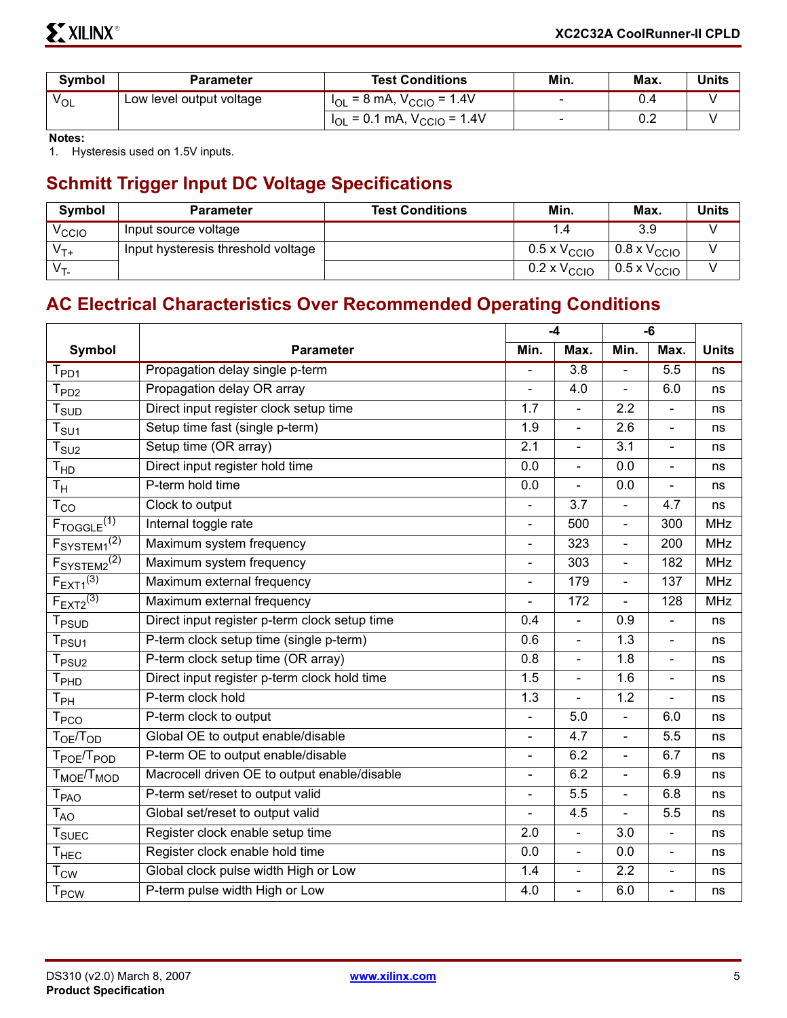| <b>Symbol</b>   | <b>Parameter</b>         | Min.<br><b>Test Conditions</b>       |        | <b>Max</b> | Units |
|-----------------|--------------------------|--------------------------------------|--------|------------|-------|
| <sup>V</sup> OL | Low level output voltage | $I_{OL}$ = 8 mA, $V_{CCIO}$ = 1.4V   | $\sim$ |            |       |
|                 |                          | $I_{OL}$ = 0.1 mA, $V_{CCIO}$ = 1.4V | $\sim$ | 0.2        |       |

**Notes:** 

1. Hysteresis used on 1.5V inputs.

# **Schmitt Trigger Input DC Voltage Specifications**

| <b>Symbol</b>     | <b>Parameter</b>                   | <b>Test Conditions</b> | Min.                         | Max.                          | <b>Units</b> |
|-------------------|------------------------------------|------------------------|------------------------------|-------------------------------|--------------|
| V <sub>CCIO</sub> | Input source voltage               |                        |                              | 3.9                           |              |
| $V_{T+}$          | Input hysteresis threshold voltage |                        | $0.5 \times V_{\text{CCIO}}$ | $0.8 \times V_{\text{CCIO}}$  |              |
| $V_T$             |                                    |                        | $0.2 \times V_{\text{CCIO}}$ | $+0.5 \times V_{\text{CCIO}}$ |              |

## **AC Electrical Characteristics Over Recommended Operating Conditions**

|                                     |                                               |                | $-4$             |                          | -6             |              |
|-------------------------------------|-----------------------------------------------|----------------|------------------|--------------------------|----------------|--------------|
| <b>Symbol</b>                       | <b>Parameter</b>                              | Min.           | Max.             | Min.                     | Max.           | <b>Units</b> |
| $\mathsf{T}_{\mathsf{PD1}}$         | Propagation delay single p-term               |                | $\overline{3.8}$ |                          | 5.5            | ns           |
| T <sub>PD2</sub>                    | Propagation delay OR array                    | $\blacksquare$ | 4.0              | $\blacksquare$           | 6.0            | ns           |
| $\mathsf{T}_{\textsf{SUD}}$         | Direct input register clock setup time        | 1.7            | $\blacksquare$   | 2.2                      | $\blacksquare$ | ns           |
| $\mathsf{T}_{\mathsf{SU1}}$         | Setup time fast (single p-term)               | 1.9            | $\blacksquare$   | 2.6                      | $\blacksquare$ | ns           |
| $T_{\scriptstyle\text{SU2}}$        | Setup time (OR array)                         | 2.1            | $\blacksquare$   | 3.1                      | $\blacksquare$ | ns           |
| T <sub>HD</sub>                     | Direct input register hold time               | 0.0            | $\blacksquare$   | 0.0                      | $\blacksquare$ | ns           |
| $T_{\mathsf{H}}$                    | P-term hold time                              | 0.0            |                  | 0.0                      |                | ns           |
| $T_{CO}$                            | Clock to output                               |                | 3.7              | $\blacksquare$           | 4.7            | ns           |
| $F_{TOGGLE}$ <sup>(1)</sup>         | Internal toggle rate                          |                | 500              | $\overline{\phantom{a}}$ | 300            | <b>MHz</b>   |
| F <sub>SYSTEM1</sub> <sup>(2)</sup> | Maximum system frequency                      | L,             | 323              | $\blacksquare$           | 200            | <b>MHz</b>   |
| $F_{\text{SYSTEM2}}^{(2)}$          | Maximum system frequency                      |                | 303              | $\blacksquare$           | 182            | <b>MHz</b>   |
| $F_{\text{EXT}1}^{(3)}$             | Maximum external frequency                    | $\blacksquare$ | 179              | $\blacksquare$           | 137            | <b>MHz</b>   |
| $F_{EXT2}^{(3)}$                    | Maximum external frequency                    |                | 172              |                          | 128            | <b>MHz</b>   |
| <b>T</b> <sub>PSUD</sub>            | Direct input register p-term clock setup time | 0.4            | $\blacksquare$   | 0.9                      | $\blacksquare$ | ns           |
| $T_{PSU1}$                          | P-term clock setup time (single p-term)       | 0.6            | $\blacksquare$   | 1.3                      | $\blacksquare$ | ns           |
| $T_{PSU2}$                          | P-term clock setup time (OR array)            | 0.8            | $\blacksquare$   | 1.8                      | $\blacksquare$ | ns           |
| $T_{\sf PhD}$                       | Direct input register p-term clock hold time  | 1.5            | $\blacksquare$   | 1.6                      | $\blacksquare$ | ns           |
| $\mathsf{T}_{\mathsf{PH}}$          | P-term clock hold                             | 1.3            | $\blacksquare$   | 1.2                      | $\blacksquare$ | ns           |
| <b>T<sub>PCO</sub></b>              | P-term clock to output                        |                | 5.0              | $\blacksquare$           | 6.0            | ns           |
| T <sub>OE</sub> /T <sub>OD</sub>    | Global OE to output enable/disable            | $\blacksquare$ | 4.7              | $\blacksquare$           | 5.5            | ns           |
| T <sub>POE</sub> /T <sub>POD</sub>  | P-term OE to output enable/disable            |                | 6.2              | $\blacksquare$           | 6.7            | ns           |
| $T_{MOE}/T_{MOD}$                   | Macrocell driven OE to output enable/disable  | $\blacksquare$ | 6.2              | $\blacksquare$           | 6.9            | ns           |
| T <sub>PAO</sub>                    | P-term set/reset to output valid              |                | 5.5              | $\blacksquare$           | 6.8            | ns           |
| $T_{AO}$                            | Global set/reset to output valid              | $\blacksquare$ | 4.5              | $\blacksquare$           | 5.5            | ns           |
| <b>T</b> <sub>SUEC</sub>            | Register clock enable setup time              | 2.0            | $\overline{a}$   | 3.0                      | $\overline{a}$ | ns           |
| $\mathsf{T}_{\mathsf{HEC}}$         | Register clock enable hold time               | 0.0            | $\blacksquare$   | 0.0                      | $\blacksquare$ | ns           |
| $T_{\text{CW}}$                     | Global clock pulse width High or Low          | 1.4            | $\overline{a}$   | 2.2                      | $\overline{a}$ | ns           |
| <b>T<sub>PCW</sub></b>              | P-term pulse width High or Low                | 4.0            | $\overline{a}$   | 6.0                      | $\overline{a}$ | ns           |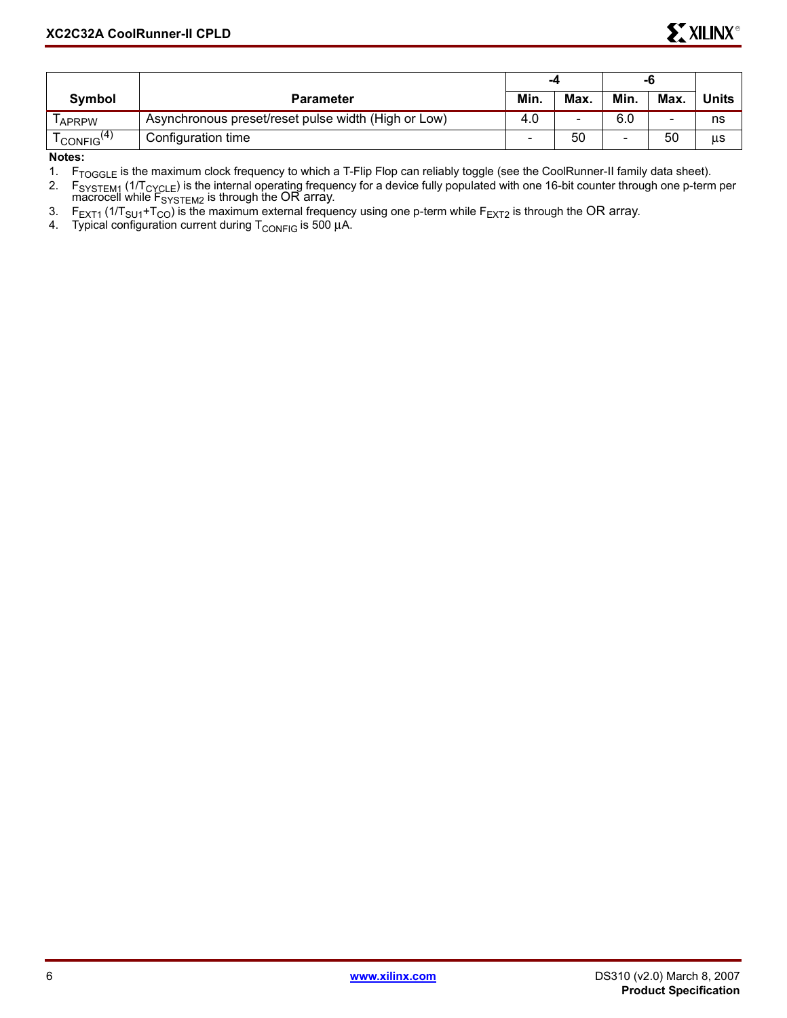|                                            |                                                     | -4   |      | -0   |      |       |
|--------------------------------------------|-----------------------------------------------------|------|------|------|------|-------|
| <b>Symbol</b>                              | <b>Parameter</b>                                    | Min. | Max. | Min. | Max. | Units |
| APRPW                                      | Asynchronous preset/reset pulse width (High or Low) | 4.0  | -    | 6.0  |      | ns    |
| $\overline{\text{CONF}}$ IG <sup>(4)</sup> | Configuration time                                  |      | 50   |      | 50   | us    |

**Notes:** 

1. F<sub>TOGGLE</sub> is the maximum clock frequency to which a T-Flip Flop can reliably toggle (see the CoolRunner-II family data sheet).

2. F<sub>SYSTEM1</sub> (1/T<sub>CYCLE</sub>) is the internal operating frequency for a device fully populated with one 16-bit counter through one p-term per  $\overline{\text{macrocell}}$  while  $\overline{\text{F}}_{\text{SYSTEM2}}$  is through the OR array.

3. F<sub>EXT1</sub> (1/T<sub>SU1</sub>+T<sub>CO</sub>) is the maximum external frequency using one p-term while F<sub>EXT2</sub> is through the OR array.

4. Typical configuration current during  $T_{\text{CONFIG}}$  is 500  $\mu$ A.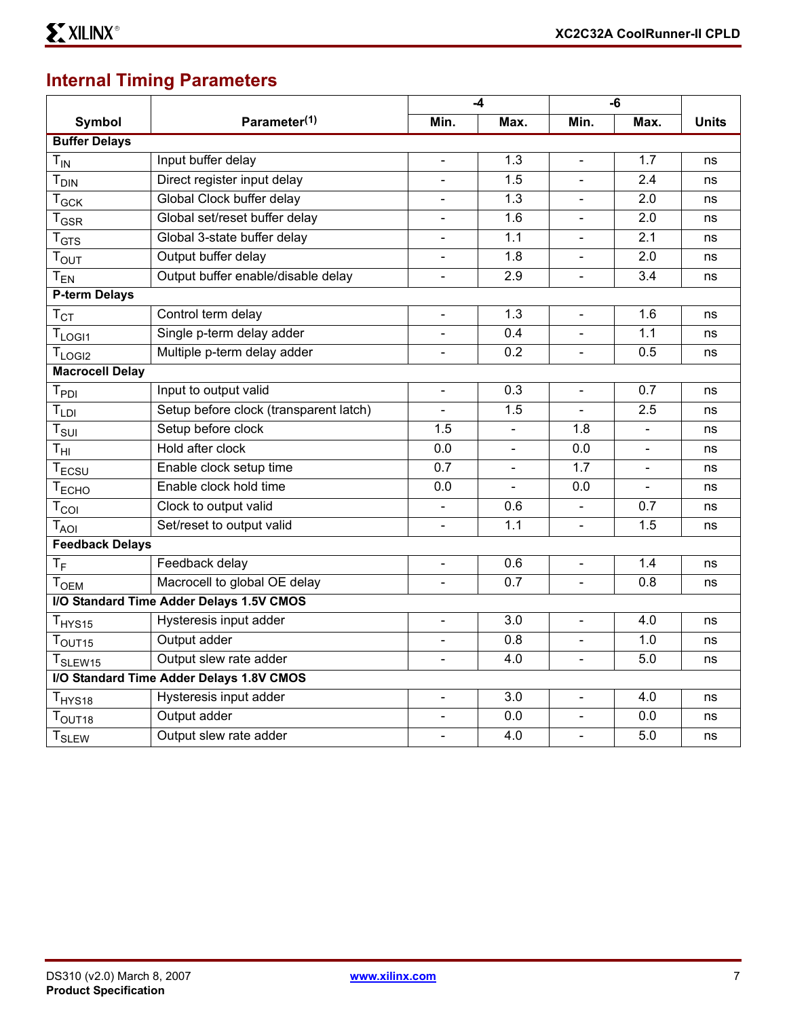# **Internal Timing Parameters**

|                               |                                          |                          | -4             | $-6$           |                          |              |
|-------------------------------|------------------------------------------|--------------------------|----------------|----------------|--------------------------|--------------|
| <b>Symbol</b>                 | Parameter <sup>(1)</sup>                 | Min.                     | Max.           | Min.           | Max.                     | <b>Units</b> |
| <b>Buffer Delays</b>          |                                          |                          |                |                |                          |              |
| $T_{IN}$                      | Input buffer delay                       | $\blacksquare$           | 1.3            | $\blacksquare$ | 1.7                      | ns           |
| <b>T<sub>DIN</sub></b>        | Direct register input delay              |                          | 1.5            |                | 2.4                      | ns           |
| $T_{GCK}$                     | Global Clock buffer delay                | $\blacksquare$           | 1.3            | $\blacksquare$ | 2.0                      | ns           |
| $T_{\text{GSR}}$              | Global set/reset buffer delay            | $\blacksquare$           | 1.6            | $\blacksquare$ | 2.0                      | ns           |
| $\mathsf{T}_{\textsf{GTS}}$   | Global 3-state buffer delay              | $\overline{\phantom{a}}$ | 1.1            | $\blacksquare$ | 2.1                      | ns           |
| $T_{\text{OUT}}$              | Output buffer delay                      | $\blacksquare$           | 1.8            | $\overline{a}$ | 2.0                      | ns           |
| $T_{EN}$                      | Output buffer enable/disable delay       |                          | 2.9            |                | 3.4                      | ns           |
| <b>P-term Delays</b>          |                                          |                          |                |                |                          |              |
| $T_{CT}$                      | Control term delay                       | $\overline{\phantom{a}}$ | 1.3            | $\frac{1}{2}$  | 1.6                      | ns           |
| T <sub>LOGI1</sub>            | Single p-term delay adder                | $\overline{\phantom{a}}$ | 0.4            | $\blacksquare$ | 1.1                      | ns           |
| T <sub>LOGI2</sub>            | Multiple p-term delay adder              | $\blacksquare$           | 0.2            | $\blacksquare$ | 0.5                      | ns           |
| <b>Macrocell Delay</b>        |                                          |                          |                |                |                          |              |
| $T_{PDI}$                     | Input to output valid                    | $\blacksquare$           | 0.3            | $\blacksquare$ | 0.7                      | ns           |
| $T_{LDI}$                     | Setup before clock (transparent latch)   | $\blacksquare$           | 1.5            |                | 2.5                      | ns           |
| $T_{\sf SUI}$                 | Setup before clock                       | 1.5                      | $\blacksquare$ | 1.8            | $\overline{\phantom{a}}$ | ns           |
| $T_{\text{HI}}$               | Hold after clock                         | 0.0                      |                | 0.0            | $\overline{a}$           | ns           |
| T <sub>ECSU</sub>             | Enable clock setup time                  | 0.7                      |                | 1.7            |                          | ns           |
| T <sub>ECHO</sub>             | Enable clock hold time                   | 0.0                      | $\overline{a}$ | 0.0            | $\blacksquare$           | ns           |
| $T_{COI}$                     | Clock to output valid                    | $\blacksquare$           | 0.6            | $\blacksquare$ | 0.7                      | ns           |
| $T_{AOI}$                     | Set/reset to output valid                | $\blacksquare$           | 1.1            | $\overline{a}$ | 1.5                      | ns           |
| <b>Feedback Delays</b>        |                                          |                          |                |                |                          |              |
| $T_F$                         | Feedback delay                           |                          | 0.6            |                | 1.4                      | ns           |
| <b>TOEM</b>                   | Macrocell to global OE delay             | $\blacksquare$           | 0.7            | $\overline{a}$ | 0.8                      | ns           |
|                               | I/O Standard Time Adder Delays 1.5V CMOS |                          |                |                |                          |              |
| T <sub>HYS15</sub>            | Hysteresis input adder                   | $\overline{\phantom{a}}$ | 3.0            | $\blacksquare$ | 4.0                      | ns           |
| T <sub>OUT15</sub>            | Output adder                             | $\overline{a}$           | 0.8            |                | 1.0                      | ns           |
| T <sub>SLEW15</sub>           | Output slew rate adder                   |                          | 4.0            |                | 5.0                      | ns           |
|                               | I/O Standard Time Adder Delays 1.8V CMOS |                          |                |                |                          |              |
| T <sub>HYS18</sub>            | Hysteresis input adder                   | $\overline{\phantom{a}}$ | 3.0            | $\frac{1}{2}$  | 4.0                      | ns           |
| $\mathsf{T}_{\mathsf{OUT18}}$ | Output adder                             | $\blacksquare$           | 0.0            | $\blacksquare$ | 0.0                      | ns           |
| <b>T<sub>SLEW</sub></b>       | Output slew rate adder                   | $\blacksquare$           | 4.0            |                | 5.0                      | ns           |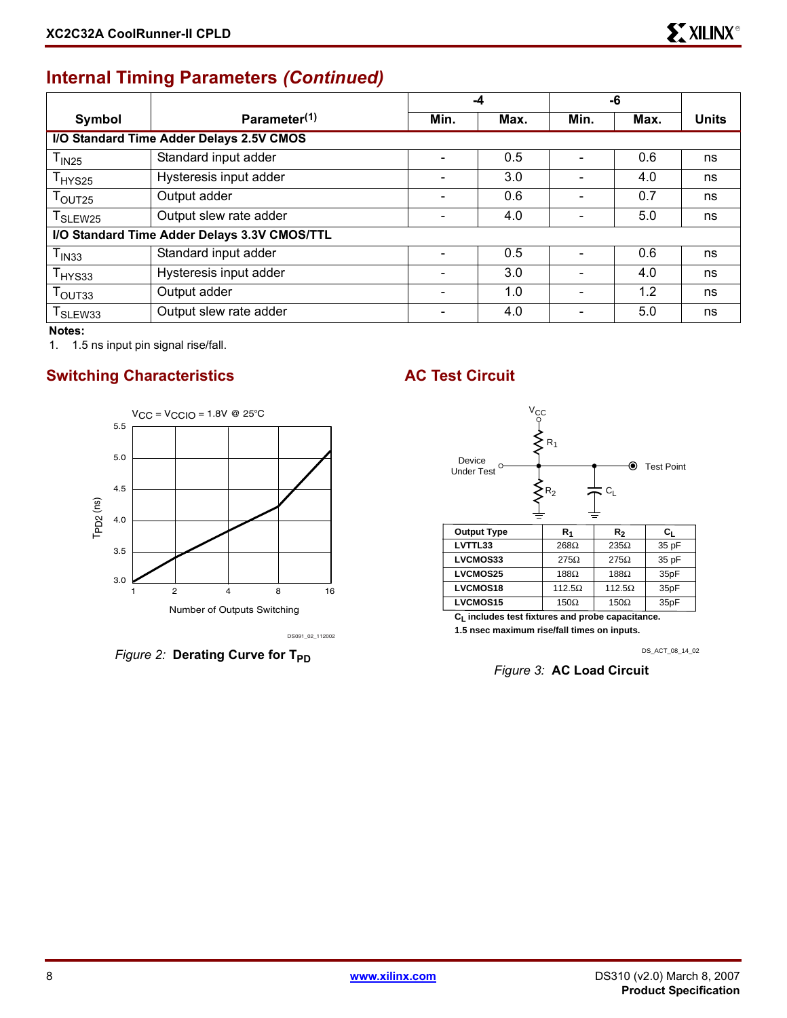# **Internal Timing Parameters** *(Continued)*

|                               |                                              |                              | -4   | -6   |      |              |  |  |
|-------------------------------|----------------------------------------------|------------------------------|------|------|------|--------------|--|--|
| Symbol                        | Parameter <sup>(1)</sup>                     | Min.                         | Max. | Min. | Max. | <b>Units</b> |  |  |
|                               | I/O Standard Time Adder Delays 2.5V CMOS     |                              |      |      |      |              |  |  |
| T <sub>IN25</sub>             | Standard input adder                         |                              | 0.5  |      | 0.6  | ns           |  |  |
| $T_{HYS25}$                   | Hysteresis input adder                       | $\qquad \qquad \blacksquare$ | 3.0  |      | 4.0  | ns           |  |  |
| $T_{\text{OUT25}}$            | Output adder                                 |                              | 0.6  |      | 0.7  | ns           |  |  |
| T <sub>SLEW25</sub>           | Output slew rate adder                       |                              | 4.0  |      | 5.0  | ns           |  |  |
|                               | I/O Standard Time Adder Delays 3.3V CMOS/TTL |                              |      |      |      |              |  |  |
| T <sub>IN33</sub>             | Standard input adder                         |                              | 0.5  |      | 0.6  | ns           |  |  |
| $\mathsf{T}_{\mathsf{HYS33}}$ | Hysteresis input adder                       |                              | 3.0  |      | 4.0  | ns           |  |  |
| $T_{\text{OUT33}}$            | Output adder                                 |                              | 1.0  |      | 1.2  | ns           |  |  |
| T <sub>SLEW33</sub>           | Output slew rate adder                       |                              | 4.0  |      | 5.0  | ns           |  |  |

**Notes:** 

1. 1.5 ns input pin signal rise/fall.

#### **Switching Characteristics AC Test Circuit**



*Figure 2:* Derating Curve for T<sub>PD</sub>



| LVTTL33         | 268Ω          | $235\Omega$   | 35 pF            |
|-----------------|---------------|---------------|------------------|
| LVCMOS33        | $275\Omega$   | $275\Omega$   | 35 pF            |
| <b>LVCMOS25</b> | $188\Omega$   | $188\Omega$   | 35 <sub>pF</sub> |
| LVCMOS18        | $112.5\Omega$ | $112.5\Omega$ | 35 <sub>pF</sub> |
| <b>LVCMOS15</b> | 150 $\Omega$  | $150\Omega$   | 35 <sub>pF</sub> |

**CL includes test fixtures and probe capacitance. 1.5 nsec maximum rise/fall times on inputs.**

DS\_ACT\_08\_14\_02

*Figure 3:* **AC Load Circuit**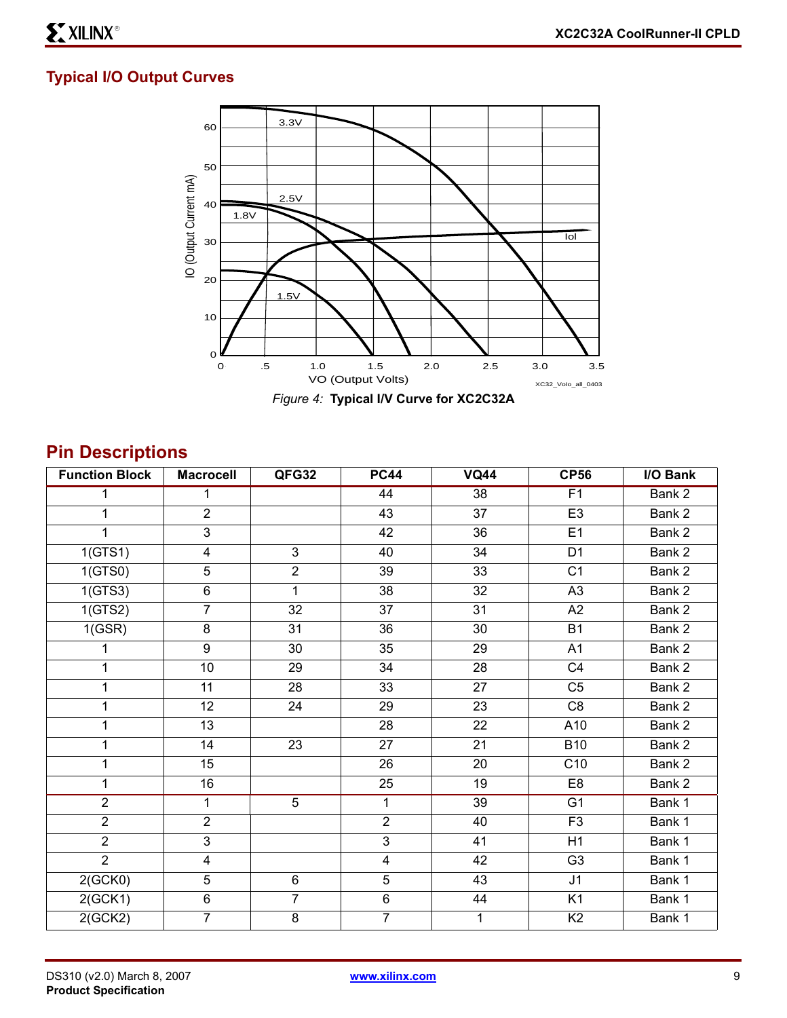#### **Typical I/O Output Curves**



# **Pin Descriptions**

| <b>Function Block</b> | <b>Macrocell</b>        | QFG32           | <b>PC44</b>             | <b>VQ44</b>     | <b>CP56</b>    | I/O Bank |
|-----------------------|-------------------------|-----------------|-------------------------|-----------------|----------------|----------|
|                       | 1                       |                 | $\overline{44}$         | $\overline{38}$ | F1             | Bank 2   |
| 1                     | $\overline{2}$          |                 | 43                      | 37              | E <sub>3</sub> | Bank 2   |
| 1                     | $\mathsf 3$             |                 | 42                      | 36              | E1             | Bank 2   |
| 1(GTS1)               | $\overline{4}$          | 3               | 40                      | 34              | D <sub>1</sub> | Bank 2   |
| 1(GTS0)               | $\overline{5}$          | $\overline{2}$  | 39                      | 33              | C <sub>1</sub> | Bank 2   |
| 1(GTS3)               | 6                       | $\mathbf{1}$    | 38                      | 32              | A <sub>3</sub> | Bank 2   |
| 1(GTS2)               | $\overline{7}$          | 32              | 37                      | 31              | A2             | Bank 2   |
| 1(GSR)                | $\bf 8$                 | 31              | 36                      | 30              | <b>B1</b>      | Bank 2   |
| 1                     | 9                       | 30              | 35                      | 29              | A1             | Bank 2   |
| $\mathbf{1}$          | 10                      | 29              | 34                      | 28              | C4             | Bank 2   |
| $\mathbf{1}$          | 11                      | 28              | 33                      | 27              | C <sub>5</sub> | Bank 2   |
| 1                     | 12                      | 24              | 29                      | 23              | C <sub>8</sub> | Bank 2   |
| $\mathbf{1}$          | 13                      |                 | 28                      | 22              | A10            | Bank 2   |
| $\mathbf{1}$          | 14                      | $\overline{23}$ | 27                      | 21              | <b>B10</b>     | Bank 2   |
| $\mathbf{1}$          | 15                      |                 | 26                      | 20              | C10            | Bank 2   |
| 1                     | 16                      |                 | 25                      | 19              | E <sub>8</sub> | Bank 2   |
| $\overline{2}$        | 1                       | $\overline{5}$  | 1                       | 39              | G <sub>1</sub> | Bank 1   |
| $\overline{2}$        | $\overline{2}$          |                 | $\overline{2}$          | 40              | F <sub>3</sub> | Bank 1   |
| $\overline{2}$        | $\overline{3}$          |                 | $\sqrt{3}$              | 41              | H1             | Bank 1   |
| $\overline{2}$        | $\overline{\mathbf{4}}$ |                 | $\overline{\mathbf{4}}$ | 42              | G <sub>3</sub> | Bank 1   |
| 2(GCK0)               | $\overline{5}$          | $\,6$           | $\sqrt{5}$              | 43              | J1             | Bank 1   |
| 2(GCK1)               | $\overline{6}$          | $\overline{7}$  | $\,6$                   | 44              | K1             | Bank 1   |
| 2(GCK2)               | $\overline{7}$          | $\overline{8}$  | $\overline{7}$          | $\mathbf{1}$    | K <sub>2</sub> | Bank 1   |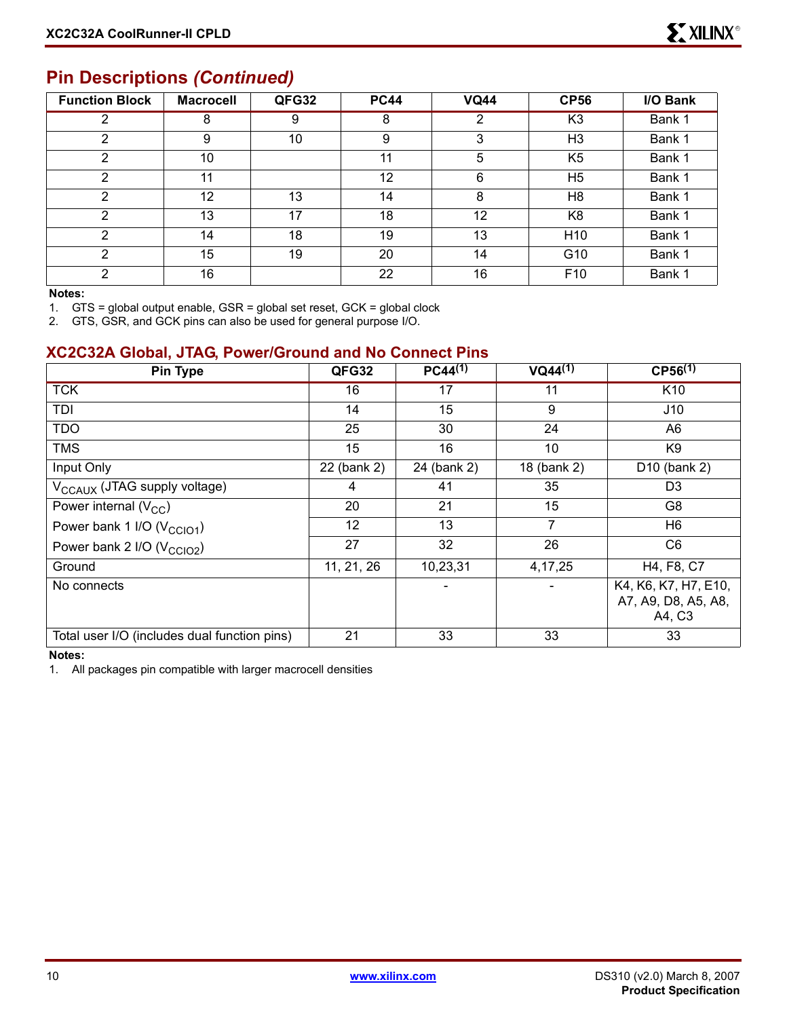#### **Pin Descriptions** *(Continued)*

| <b>Function Block</b> | <b>Macrocell</b> | QFG32 | <b>PC44</b> | <b>VQ44</b> | <b>CP56</b>     | I/O Bank |
|-----------------------|------------------|-------|-------------|-------------|-----------------|----------|
| 2                     | 8                | 9     | 8           | 2           | K <sub>3</sub>  | Bank 1   |
| 2                     | 9                | 10    | 9           | 3           | H <sub>3</sub>  | Bank 1   |
| 2                     | 10               |       | 11          | 5           | K <sub>5</sub>  | Bank 1   |
| 2                     | 11               |       | 12          | 6           | H <sub>5</sub>  | Bank 1   |
| 2                     | 12               | 13    | 14          | 8           | H <sub>8</sub>  | Bank 1   |
| 2                     | 13               | 17    | 18          | 12          | K <sub>8</sub>  | Bank 1   |
| 2                     | 14               | 18    | 19          | 13          | H <sub>10</sub> | Bank 1   |
| 2                     | 15               | 19    | 20          | 14          | G <sub>10</sub> | Bank 1   |
| 2                     | 16               |       | 22          | 16          | F <sub>10</sub> | Bank 1   |

#### **Notes:**

1. GTS = global output enable, GSR = global set reset, GCK = global clock

2. GTS, GSR, and GCK pins can also be used for general purpose I/O.

#### **XC2C32A Global, JTAG, Power/Ground and No Connect Pins**

| Pin Type                                     | QFG32       | $PC44^{(1)}$ | $VQ44^{(1)}$ | $CP56^{(1)}$                                          |
|----------------------------------------------|-------------|--------------|--------------|-------------------------------------------------------|
| <b>TCK</b>                                   | 16          | 17           | 11           | K <sub>10</sub>                                       |
| TDI                                          | 14          | 15           | 9            | J10                                                   |
| <b>TDO</b>                                   | 25          | 30           | 24           | A6                                                    |
| <b>TMS</b>                                   | 15          | 16           | 10           | K <sub>9</sub>                                        |
| Input Only                                   | 22 (bank 2) | 24 (bank 2)  | 18 (bank 2)  | D10 (bank 2)                                          |
| V <sub>CCAUX</sub> (JTAG supply voltage)     | 4           | 41           | 35           | D <sub>3</sub>                                        |
| Power internal $(V_{CC})$                    | 20          | 21           | 15           | G8                                                    |
| Power bank 1 I/O (V <sub>CCIO1</sub> )       | 12          | 13           | 7            | H6                                                    |
| Power bank 2 I/O (V <sub>CCIO2</sub> )       | 27          | 32           | 26           | C <sub>6</sub>                                        |
| Ground                                       | 11, 21, 26  | 10,23,31     | 4, 17, 25    | H4, F8, C7                                            |
| No connects                                  |             |              |              | K4, K6, K7, H7, E10,<br>A7, A9, D8, A5, A8,<br>A4, C3 |
| Total user I/O (includes dual function pins) | 21          | 33           | 33           | 33                                                    |

**Notes:** 

1. All packages pin compatible with larger macrocell densities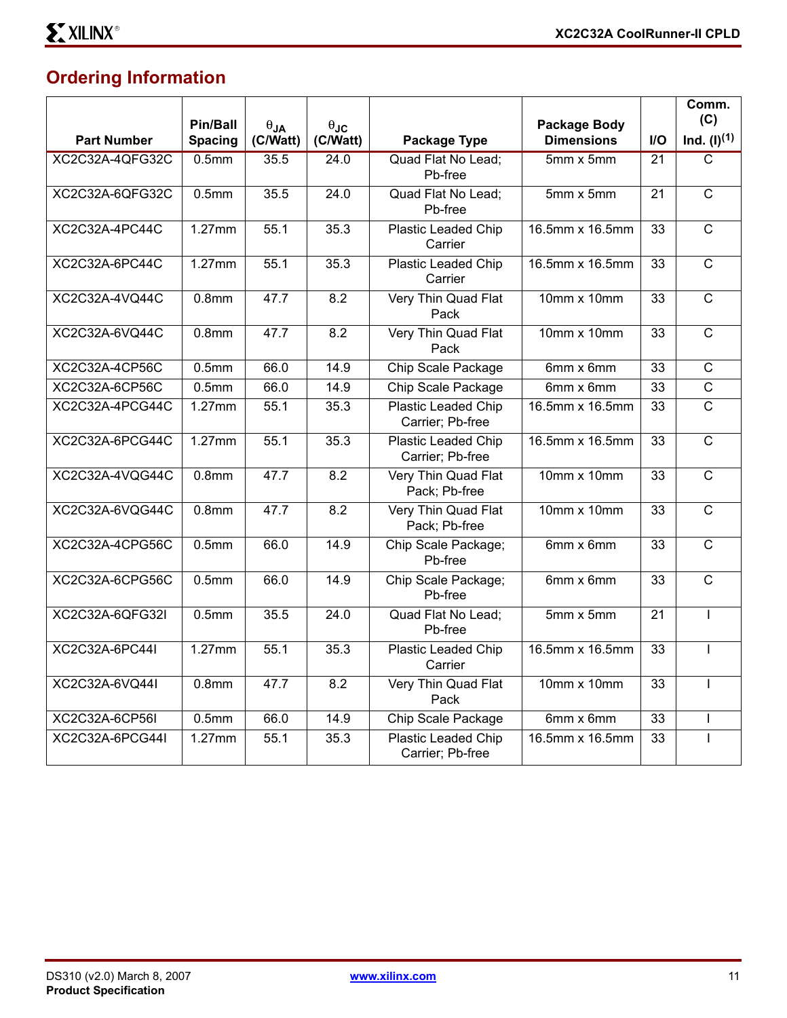# **Ordering Information**

|                        | Pin/Ball          | $\theta_{JA}$ | $\theta_{\text{JC}}$ | <b>Package Body</b>                            |                          |                 | Comm.<br>(C)     |
|------------------------|-------------------|---------------|----------------------|------------------------------------------------|--------------------------|-----------------|------------------|
| <b>Part Number</b>     | <b>Spacing</b>    | (C/Watt)      | (C/Watt)             | Package Type                                   | <b>Dimensions</b>        | I/O             | $Ind. (I)^{(1)}$ |
| <b>XC2C32A-4QFG32C</b> | 0.5 <sub>mm</sub> | 35.5          | 24.0                 | <b>Quad Flat No Lead:</b><br>Pb-free           | $5mm \times 5mm$         | $\overline{21}$ | C                |
| XC2C32A-6QFG32C        | 0.5 <sub>mm</sub> | 35.5          | 24.0                 | Quad Flat No Lead;<br>Pb-free                  | 5mm x 5mm                | 21              | $\overline{C}$   |
| XC2C32A-4PC44C         | 1.27mm            | 55.1          | 35.3                 | Plastic Leaded Chip<br>Carrier                 | 16.5mm x 16.5mm          | 33              | $\overline{C}$   |
| XC2C32A-6PC44C         | 1.27mm            | 55.1          | 35.3                 | <b>Plastic Leaded Chip</b><br>Carrier          | 16.5mm x 16.5mm          | 33              | $\overline{C}$   |
| XC2C32A-4VQ44C         | 0.8 <sub>mm</sub> | 47.7          | 8.2                  | Very Thin Quad Flat<br>Pack                    | 10mm x 10mm              | 33              | $\overline{C}$   |
| XC2C32A-6VQ44C         | 0.8 <sub>mm</sub> | 47.7          | 8.2                  | Very Thin Quad Flat<br>Pack                    | 10mm x 10mm              | 33              | $\overline{C}$   |
| XC2C32A-4CP56C         | 0.5 <sub>mm</sub> | 66.0          | 14.9                 | Chip Scale Package                             | 6mm x 6mm                | 33              | $\mathsf{C}$     |
| XC2C32A-6CP56C         | 0.5 <sub>mm</sub> | 66.0          | 14.9                 | Chip Scale Package                             | 6mm x 6mm                | $\overline{33}$ | $\overline{C}$   |
| XC2C32A-4PCG44C        | $1.27$ mm         | 55.1          | 35.3                 | <b>Plastic Leaded Chip</b><br>Carrier; Pb-free | 16.5mm x 16.5mm          | 33              | $\overline{C}$   |
| XC2C32A-6PCG44C        | $1.27$ mm         | 55.1          | 35.3                 | <b>Plastic Leaded Chip</b><br>Carrier; Pb-free | 16.5mm x 16.5mm          | 33              | $\overline{C}$   |
| XC2C32A-4VQG44C        | 0.8 <sub>mm</sub> | 47.7          | 8.2                  | Very Thin Quad Flat<br>Pack; Pb-free           | 10mm x 10mm              | 33              | $\overline{C}$   |
| XC2C32A-6VQG44C        | 0.8 <sub>mm</sub> | 47.7          | 8.2                  | Very Thin Quad Flat<br>Pack; Pb-free           | 10mm $\overline{x}$ 10mm | 33              | $\overline{C}$   |
| XC2C32A-4CPG56C        | 0.5 <sub>mm</sub> | 66.0          | 14.9                 | Chip Scale Package;<br>Pb-free                 | 6mm x 6mm                | 33              | $\mathbf C$      |
| XC2C32A-6CPG56C        | 0.5 <sub>mm</sub> | 66.0          | 14.9                 | Chip Scale Package;<br>Pb-free                 | 6mm x 6mm                | 33              | $\overline{C}$   |
| XC2C32A-6QFG32I        | 0.5 <sub>mm</sub> | 35.5          | 24.0                 | Quad Flat No Lead;<br>Pb-free                  | 5mm x 5mm                | 21              |                  |
| XC2C32A-6PC44I         | $1.27$ mm         | 55.1          | 35.3                 | <b>Plastic Leaded Chip</b><br>Carrier          | 16.5mm x 16.5mm          | 33              |                  |
| XC2C32A-6VQ441         | 0.8 <sub>mm</sub> | 47.7          | 8.2                  | Very Thin Quad Flat<br>Pack                    | 10mm x 10mm              | 33              |                  |
| XC2C32A-6CP56I         | 0.5 <sub>mm</sub> | 66.0          | 14.9                 | Chip Scale Package                             | 6mm x 6mm                | 33              |                  |
| XC2C32A-6PCG44I        | 1.27mm            | 55.1          | 35.3                 | <b>Plastic Leaded Chip</b><br>Carrier; Pb-free | 16.5mm x 16.5mm          | 33              |                  |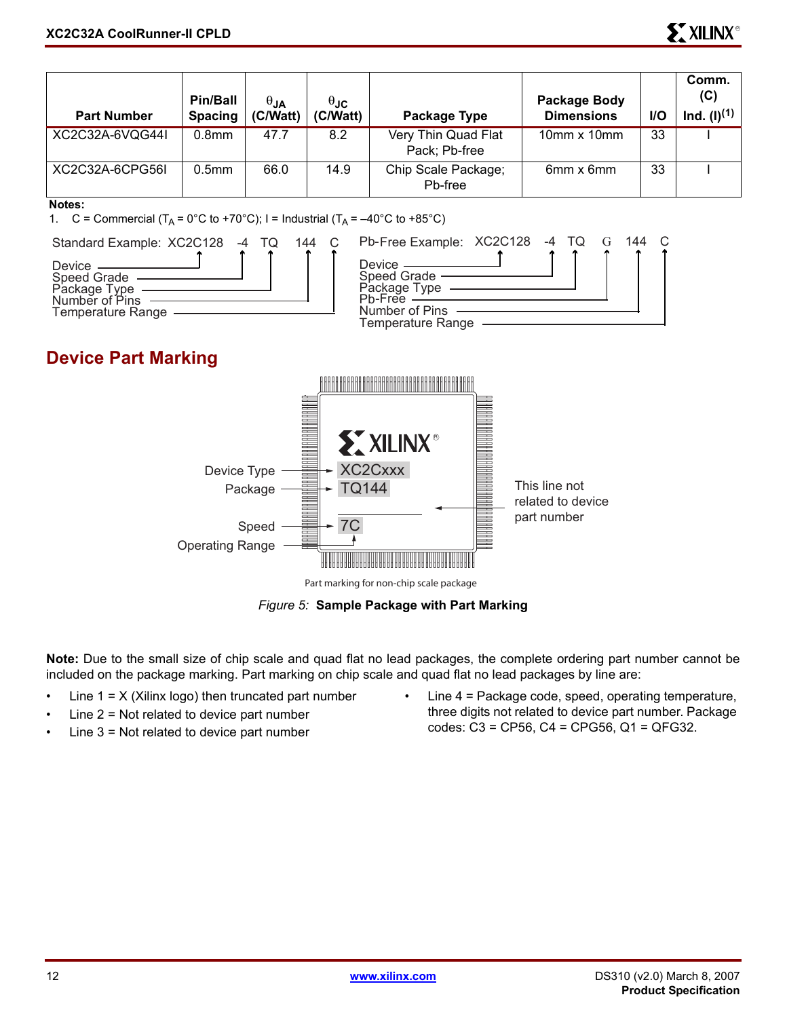| <b>Part Number</b> | <b>Pin/Ball</b><br><b>Spacing</b> | $\theta$ JA<br>(C/Watt) | $\theta$ JC<br>(C/Watt) | Package Type                         | Package Body<br><b>Dimensions</b> | <b>I/O</b> | Comm.<br>(C)<br>Ind. (I) <sup>(1)</sup> |
|--------------------|-----------------------------------|-------------------------|-------------------------|--------------------------------------|-----------------------------------|------------|-----------------------------------------|
| XC2C32A-6VQG44I    | 0.8 <sub>mm</sub>                 | 47.7                    | 8.2                     | Very Thin Quad Flat<br>Pack; Pb-free | $10mm \times 10mm$                | 33         |                                         |
| XC2C32A-6CPG56L    | 0.5 <sub>mm</sub>                 | 66.0                    | 14.9                    | Chip Scale Package;<br>Pb-free       | 6mm x 6mm                         | 33         |                                         |

#### **Notes:**

1. C = Commercial  $(T_A = 0^{\circ}C$  to +70°C); I = Industrial  $(T_A = -40^{\circ}C$  to +85°C)



*Figure 5:* **Sample Package with Part Marking**

**Note:** Due to the small size of chip scale and quad flat no lead packages, the complete ordering part number cannot be included on the package marking. Part marking on chip scale and quad flat no lead packages by line are:

- Line  $1 = X$  (Xilinx logo) then truncated part number
- Line  $2$  = Not related to device part number
- Line  $3$  = Not related to device part number
- Line 4 = Package code, speed, operating temperature, three digits not related to device part number. Package codes: C3 = CP56, C4 = CPG56, Q1 = QFG32.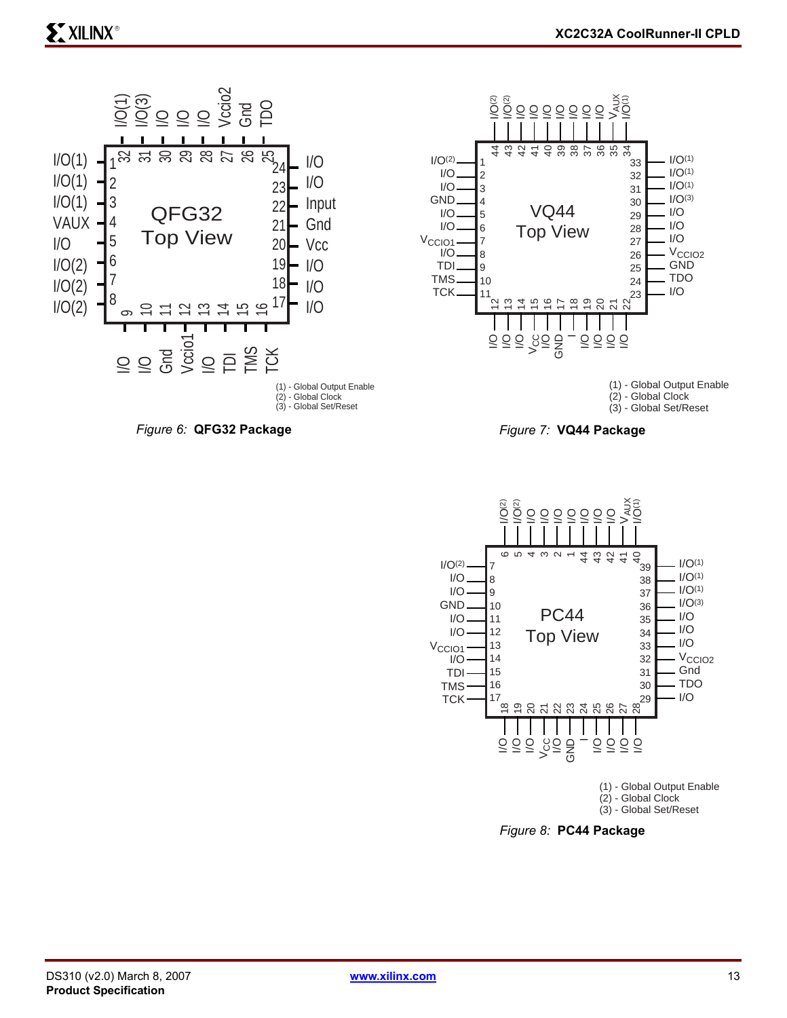



(1) - Global Output Enable (2) - Global Clock (3) - Global Set/Reset





*Figure 8:* **PC44 Package**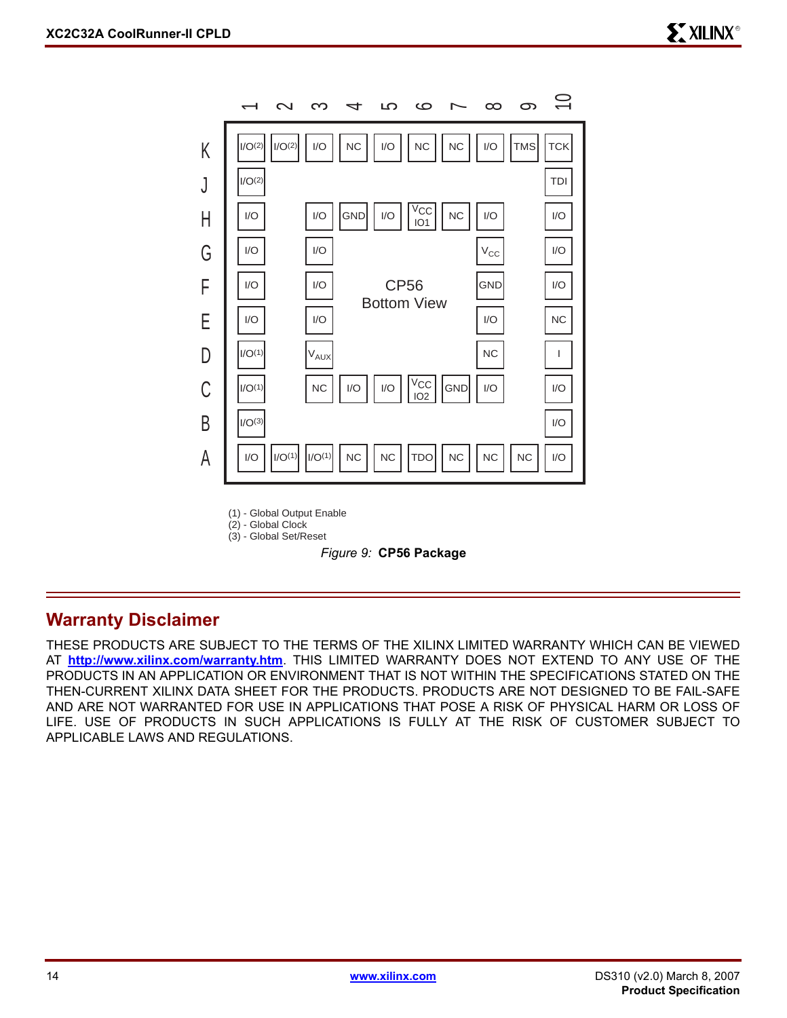

(1) - Global Output Enable

(2) - Global Clock (3) - Global Set/Reset



#### **Warranty Disclaimer**

THESE PRODUCTS ARE SUBJECT TO THE TERMS OF THE XILINX LIMITED WARRANTY WHICH CAN BE VIEWED AT **<http://www.xilinx.com/warranty.htm>**. THIS LIMITED WARRANTY DOES NOT EXTEND TO ANY USE OF THE PRODUCTS IN AN APPLICATION OR ENVIRONMENT THAT IS NOT WITHIN THE SPECIFICATIONS STATED ON THE THEN-CURRENT XILINX DATA SHEET FOR THE PRODUCTS. PRODUCTS ARE NOT DESIGNED TO BE FAIL-SAFE AND ARE NOT WARRANTED FOR USE IN APPLICATIONS THAT POSE A RISK OF PHYSICAL HARM OR LOSS OF LIFE. USE OF PRODUCTS IN SUCH APPLICATIONS IS FULLY AT THE RISK OF CUSTOMER SUBJECT TO APPLICABLE LAWS AND REGULATIONS.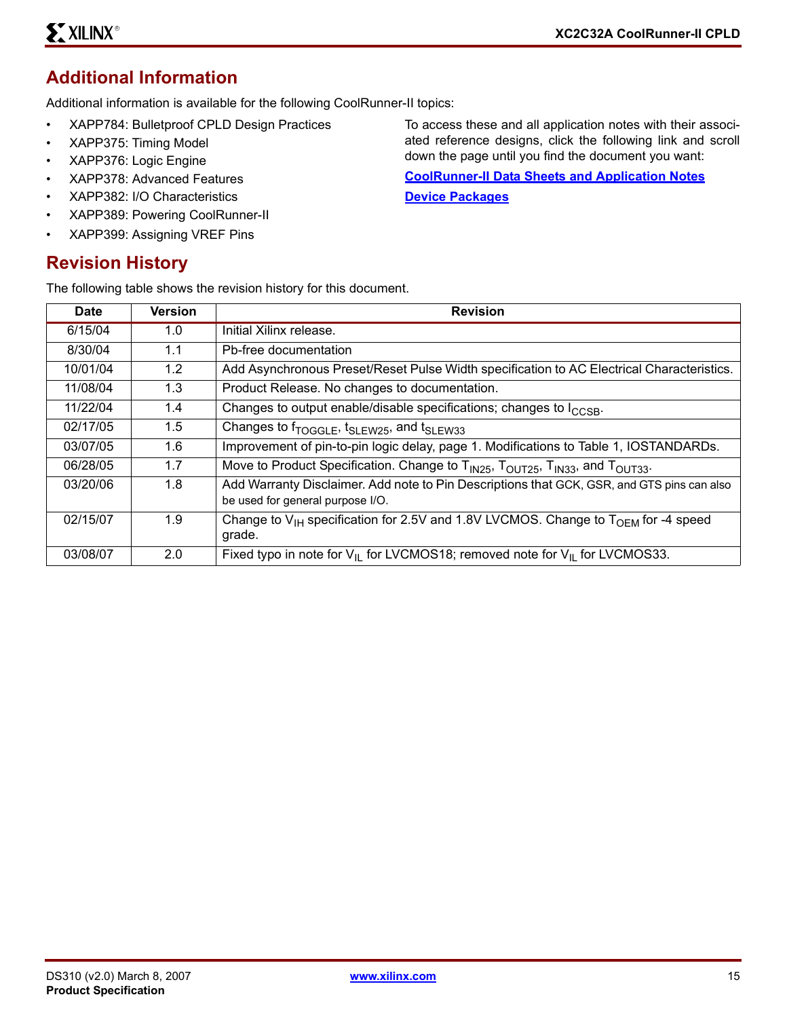## **Additional Information**

Additional information is available for the following CoolRunner-II topics:

- XAPP784: Bulletproof CPLD Design Practices
- XAPP375: Timing Model
- XAPP376: Logic Engine
- XAPP378: Advanced Features
- XAPP382: I/O Characteristics
- XAPP389: Powering CoolRunner-II
- XAPP399: Assigning VREF Pins

#### **Revision History**

The following table shows the revision history for this document.

To access these and all application notes with their associated reference designs, click the following link and scroll down the page until you find the document you want:

**[CoolRunner-II Data Sheets and Application Notes](http://www.xilinx.com/xlnx/xweb/xil_publications_display.jsp?sGlobalNavPick=&sSecondaryNavPick=&category=-19214&iLanguageID=1) [Device Packages](http://www.xilinx.com/xlnx/xweb/xil_publications_index.jsp?sGlobalNavPick=&sSecondaryNavPick=&category=-19166&iLanguageID=1)**

| <b>Date</b> | <b>Version</b> | <b>Revision</b>                                                                                                                |
|-------------|----------------|--------------------------------------------------------------------------------------------------------------------------------|
| 6/15/04     | 1.0            | Initial Xilinx release.                                                                                                        |
| 8/30/04     | 1.1            | Pb-free documentation                                                                                                          |
| 10/01/04    | 1.2            | Add Asynchronous Preset/Reset Pulse Width specification to AC Electrical Characteristics.                                      |
| 11/08/04    | 1.3            | Product Release. No changes to documentation.                                                                                  |
| 11/22/04    | 1.4            | Changes to output enable/disable specifications; changes to I <sub>CCSB</sub> .                                                |
| 02/17/05    | 1.5            | Changes to $f_{TOGGLE}$ , $t_{SLEW25}$ , and $t_{SLEW33}$                                                                      |
| 03/07/05    | 1.6            | Improvement of pin-to-pin logic delay, page 1. Modifications to Table 1, IOSTANDARDs.                                          |
| 06/28/05    | 1.7            | Move to Product Specification. Change to T <sub>IN25</sub> , T <sub>OUT25</sub> , T <sub>IN33</sub> , and T <sub>OUT33</sub> . |
| 03/20/06    | 1.8            | Add Warranty Disclaimer. Add note to Pin Descriptions that GCK, GSR, and GTS pins can also<br>be used for general purpose I/O. |
| 02/15/07    | 1.9            | Change to $V_{IH}$ specification for 2.5V and 1.8V LVCMOS. Change to $T_{OFM}$ for -4 speed<br>grade.                          |
| 03/08/07    | 2.0            | Fixed typo in note for $V_{II}$ for LVCMOS18; removed note for $V_{II}$ for LVCMOS33.                                          |